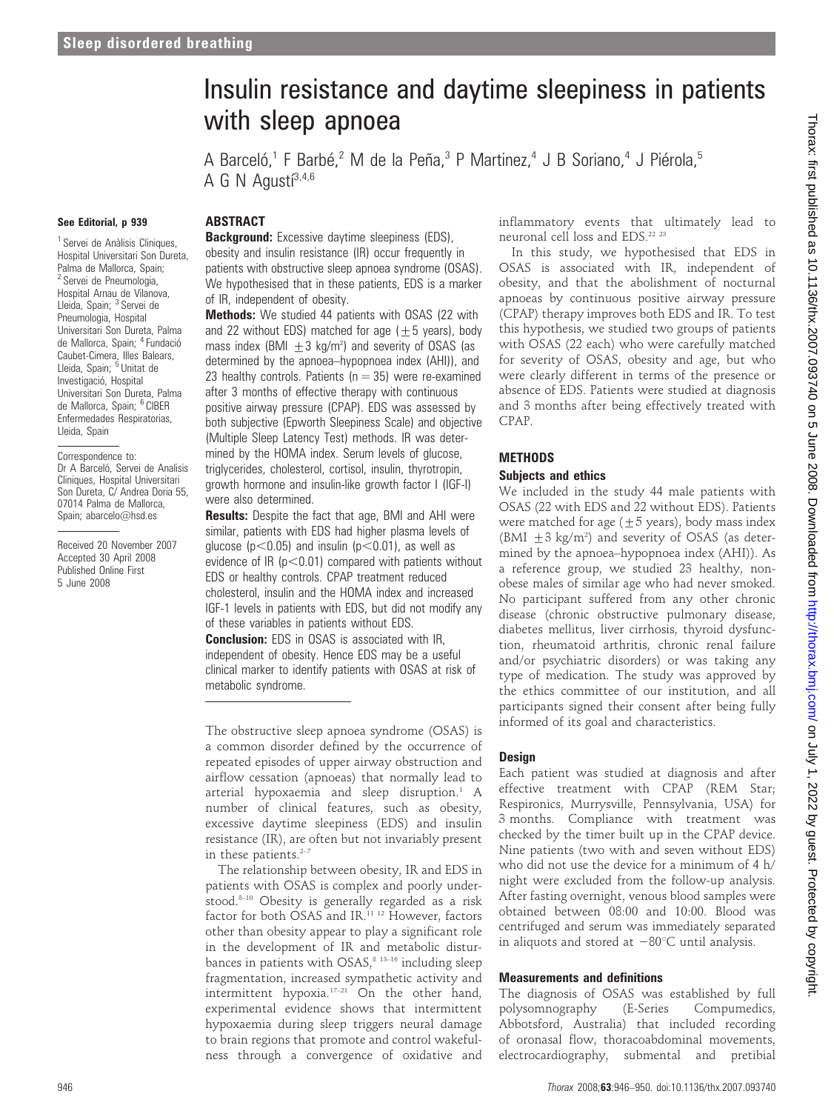# Insulin resistance and daytime sleepiness in patients with sleep apnoea

A Barceló,<sup>1</sup> F Barbé,<sup>2</sup> M de la Peña,<sup>3</sup> P Martinez,<sup>4</sup> J B Soriano,<sup>4</sup> J Piérola,<sup>5</sup> A G N Agustí $3,4,6$ 

#### See Editorial, p 939

## ABSTRACT

<sup>1</sup> Servei de Anàlisis Cliniques, Hospital Universitari Son Dureta, Palma de Mallorca, Spain; <sup>2</sup> Servei de Pneumologia, Hospital Arnau de Vilanova, Lleida, Spain; <sup>3</sup> Servei de Pneumologia, Hospital Universitari Son Dureta, Palma de Mallorca, Spain; <sup>4</sup> Fundació Caubet-Cimera, Illes Balears, Lleida, Spain; <sup>5</sup> Unitat de Investigació, Hospital Universitari Son Dureta, Palma de Mallorca, Spain; <sup>6</sup> CIBER Enfermedades Respiratorias, Lleida, Spain

Correspondence to: Dr A Barceló, Servei de Analisis Cliniques, Hospital Universitari Son Dureta, C/ Andrea Doria 55, 07014 Palma de Mallorca, Spain: abarcelo@hsd.es

Received 20 November 2007 Accepted 30 April 2008 Published Online First 5 June 2008

**Background:** Excessive daytime sleepiness (EDS), obesity and insulin resistance (IR) occur frequently in patients with obstructive sleep apnoea syndrome (OSAS). We hypothesised that in these patients, EDS is a marker of IR, independent of obesity.

Methods: We studied 44 patients with OSAS (22 with and 22 without EDS) matched for age  $(\pm 5$  years), body mass index (BMI  $\pm$  3 kg/m<sup>2</sup>) and severity of OSAS (as determined by the apnoea–hypopnoea index (AHI)), and 23 healthy controls. Patients ( $n = 35$ ) were re-examined after 3 months of effective therapy with continuous positive airway pressure (CPAP). EDS was assessed by both subjective (Epworth Sleepiness Scale) and objective (Multiple Sleep Latency Test) methods. IR was determined by the HOMA index. Serum levels of glucose, triglycerides, cholesterol, cortisol, insulin, thyrotropin, growth hormone and insulin-like growth factor I (IGF-I) were also determined.

**Results:** Despite the fact that age, BMI and AHI were similar, patients with EDS had higher plasma levels of glucose ( $p$ <0.05) and insulin ( $p$ <0.01), as well as evidence of IR ( $p<0.01$ ) compared with patients without EDS or healthy controls. CPAP treatment reduced cholesterol, insulin and the HOMA index and increased IGF-1 levels in patients with EDS, but did not modify any of these variables in patients without EDS.

**Conclusion:** EDS in OSAS is associated with IR, independent of obesity. Hence EDS may be a useful clinical marker to identify patients with OSAS at risk of metabolic syndrome.

The obstructive sleep apnoea syndrome (OSAS) is a common disorder defined by the occurrence of repeated episodes of upper airway obstruction and airflow cessation (apnoeas) that normally lead to arterial hypoxaemia and sleep disruption.<sup>1</sup> A number of clinical features, such as obesity, excessive daytime sleepiness (EDS) and insulin resistance (IR), are often but not invariably present in these patients. $2-7$ 

The relationship between obesity, IR and EDS in patients with OSAS is complex and poorly understood.<sup>8-10</sup> Obesity is generally regarded as a risk factor for both OSAS and IR.<sup>11 12</sup> However, factors other than obesity appear to play a significant role in the development of IR and metabolic disturbances in patients with  $OSAS$ ,<sup>8 13-16</sup> including sleep fragmentation, increased sympathetic activity and intermittent hypoxia.17–21 On the other hand, experimental evidence shows that intermittent hypoxaemia during sleep triggers neural damage to brain regions that promote and control wakefulness through a convergence of oxidative and inflammatory events that ultimately lead to neuronal cell loss and EDS.<sup>22</sup> <sup>23</sup>

In this study, we hypothesised that EDS in OSAS is associated with IR, independent of obesity, and that the abolishment of nocturnal apnoeas by continuous positive airway pressure (CPAP) therapy improves both EDS and IR. To test this hypothesis, we studied two groups of patients with OSAS (22 each) who were carefully matched for severity of OSAS, obesity and age, but who were clearly different in terms of the presence or absence of EDS. Patients were studied at diagnosis and 3 months after being effectively treated with CPAP.

#### **METHODS**

#### Subjects and ethics

We included in the study 44 male patients with OSAS (22 with EDS and 22 without EDS). Patients were matched for age  $(\pm 5 \text{ years})$ , body mass index (BMI  $\pm$  3 kg/m<sup>2</sup>) and severity of OSAS (as determined by the apnoea–hypopnoea index (AHI)). As a reference group, we studied 23 healthy, nonobese males of similar age who had never smoked. No participant suffered from any other chronic disease (chronic obstructive pulmonary disease, diabetes mellitus, liver cirrhosis, thyroid dysfunction, rheumatoid arthritis, chronic renal failure and/or psychiatric disorders) or was taking any type of medication. The study was approved by the ethics committee of our institution, and all participants signed their consent after being fully informed of its goal and characteristics.

#### Design

Each patient was studied at diagnosis and after effective treatment with CPAP (REM Star; Respironics, Murrysville, Pennsylvania, USA) for 3 months. Compliance with treatment was checked by the timer built up in the CPAP device. Nine patients (two with and seven without EDS) who did not use the device for a minimum of 4 h/ night were excluded from the follow-up analysis. After fasting overnight, venous blood samples were obtained between 08:00 and 10:00. Blood was centrifuged and serum was immediately separated in aliquots and stored at  $-80^{\circ}$ C until analysis.

## Measurements and definitions

The diagnosis of OSAS was established by full polysomnography (E-Series Compumedics, Abbotsford, Australia) that included recording of oronasal flow, thoracoabdominal movements, electrocardiography, submental and pretibial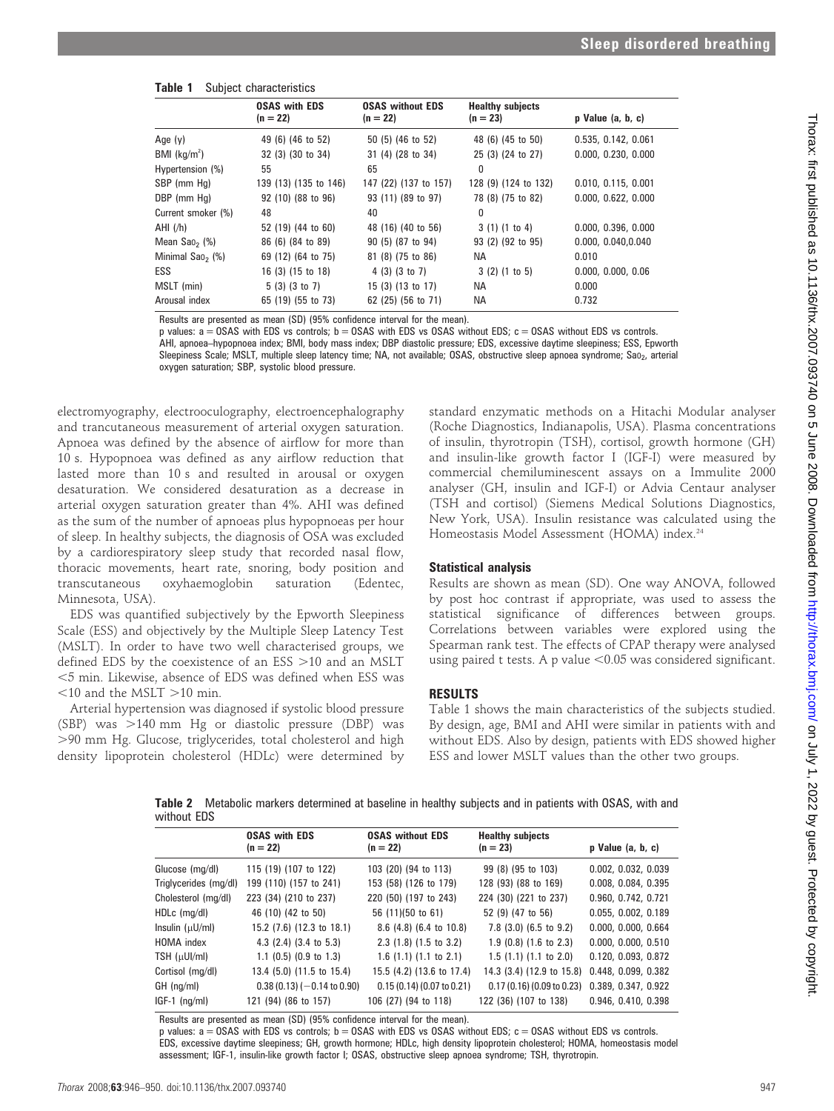| Table 1 |  | Subject characteristics |
|---------|--|-------------------------|
|---------|--|-------------------------|

|                              | <b>OSAS with EDS</b>  | <b>OSAS without EDS</b> | <b>Healthy subjects</b> |                       |
|------------------------------|-----------------------|-------------------------|-------------------------|-----------------------|
|                              | $(n = 22)$            | $(n = 22)$              | $(n = 23)$              | $p$ Value $(a, b, c)$ |
| Age (y)                      | 49 (6) (46 to 52)     | 50 (5) (46 to 52)       | 48 (6) (45 to 50)       | 0.535, 0.142, 0.061   |
| BMI $(kg/m2)$                | 32 (3) (30 to 34)     | 31 (4) (28 to 34)       | 25 (3) (24 to 27)       | 0.000, 0.230, 0.000   |
| Hypertension (%)             | 55                    | 65                      | 0                       |                       |
| SBP (mm Hg)                  | 139 (13) (135 to 146) | 147 (22) (137 to 157)   | 128 (9) (124 to 132)    | 0.010, 0.115, 0.001   |
| DBP (mm Hg)                  | 92 (10) (88 to 96)    | 93 (11) (89 to 97)      | 78 (8) (75 to 82)       | 0.000, 0.622, 0.000   |
| Current smoker (%)           | 48                    | 40                      | 0                       |                       |
| AHI (/h)                     | 52 (19) (44 to 60)    | 48 (16) (40 to 56)      | 3(1)(1 to 4)            | 0.000, 0.396, 0.000   |
| Mean $Sao_2$ (%)             | 86 (6) (84 to 89)     | 90 (5) (87 to 94)       | 93 (2) (92 to 95)       | 0.000, 0.040, 0.040   |
| Minimal Sao <sub>2</sub> (%) | 69 (12) (64 to 75)    | 81 (8) (75 to 86)       | <b>NA</b>               | 0.010                 |
| ESS                          | 16 (3) (15 to 18)     | 4(3)(3 to 7)            | 3(2)(1 to 5)            | 0.000, 0.000, 0.06    |
| MSLT (min)                   | $5(3)(3)$ to 7)       | 15 (3) (13 to 17)       | NA.                     | 0.000                 |
| Arousal index                | 65 (19) (55 to 73)    | 62 (25) (56 to 71)      | <b>NA</b>               | 0.732                 |

Results are presented as mean (SD) (95% confidence interval for the mean).

p values:  $a = 0SAS$  with EDS vs controls;  $b = 0SAS$  with EDS vs  $OSAS$  without EDS;  $c = 0SAS$  without EDS vs controls. AHI, apnoea–hypopnoea index; BMI, body mass index; DBP diastolic pressure; EDS, excessive daytime sleepiness; ESS, Epworth Sleepiness Scale; MSLT, multiple sleep latency time; NA, not available; OSAS, obstructive sleep apnoea syndrome; Sao<sub>2</sub>, arterial oxygen saturation; SBP, systolic blood pressure.

electromyography, electrooculography, electroencephalography and trancutaneous measurement of arterial oxygen saturation. Apnoea was defined by the absence of airflow for more than 10 s. Hypopnoea was defined as any airflow reduction that lasted more than 10 s and resulted in arousal or oxygen desaturation. We considered desaturation as a decrease in arterial oxygen saturation greater than 4%. AHI was defined as the sum of the number of apnoeas plus hypopnoeas per hour of sleep. In healthy subjects, the diagnosis of OSA was excluded by a cardiorespiratory sleep study that recorded nasal flow, thoracic movements, heart rate, snoring, body position and transcutaneous oxyhaemoglobin saturation (Edentec, Minnesota, USA).

EDS was quantified subjectively by the Epworth Sleepiness Scale (ESS) and objectively by the Multiple Sleep Latency Test (MSLT). In order to have two well characterised groups, we defined EDS by the coexistence of an ESS  $>10$  and an MSLT ,5 min. Likewise, absence of EDS was defined when ESS was  $<$ 10 and the MSLT  $>$ 10 min.

Arterial hypertension was diagnosed if systolic blood pressure (SBP) was  $>140$  mm Hg or diastolic pressure (DBP) was .90 mm Hg. Glucose, triglycerides, total cholesterol and high density lipoprotein cholesterol (HDLc) were determined by

standard enzymatic methods on a Hitachi Modular analyser (Roche Diagnostics, Indianapolis, USA). Plasma concentrations of insulin, thyrotropin (TSH), cortisol, growth hormone (GH) and insulin-like growth factor I (IGF-I) were measured by commercial chemiluminescent assays on a Immulite 2000 analyser (GH, insulin and IGF-I) or Advia Centaur analyser (TSH and cortisol) (Siemens Medical Solutions Diagnostics, New York, USA). Insulin resistance was calculated using the Homeostasis Model Assessment (HOMA) index.<sup>24</sup>

## Statistical analysis

Results are shown as mean (SD). One way ANOVA, followed by post hoc contrast if appropriate, was used to assess the statistical significance of differences between groups. Correlations between variables were explored using the Spearman rank test. The effects of CPAP therapy were analysed using paired t tests. A p value  $< 0.05$  was considered significant.

# RESULTS

Table 1 shows the main characteristics of the subjects studied. By design, age, BMI and AHI were similar in patients with and without EDS. Also by design, patients with EDS showed higher ESS and lower MSLT values than the other two groups.

Table 2 Metabolic markers determined at baseline in healthy subjects and in patients with OSAS, with and without EDS

|                       | <b>OSAS with EDS</b><br>$(n = 22)$ | <b>OSAS without EDS</b><br>$(n = 22)$ | <b>Healthy subjects</b><br>$(n = 23)$ | p Value (a, b, c)   |
|-----------------------|------------------------------------|---------------------------------------|---------------------------------------|---------------------|
| Glucose (mg/dl)       | 115 (19) (107 to 122)              | 103 (20) (94 to 113)                  | 99 (8) (95 to 103)                    | 0.002, 0.032, 0.039 |
| Triglycerides (mg/dl) | 199 (110) (157 to 241)             | 153 (58) (126 to 179)                 | 128 (93) (88 to 169)                  | 0.008, 0.084, 0.395 |
| Cholesterol (mg/dl)   | 223 (34) (210 to 237)              | 220 (50) (197 to 243)                 | 224 (30) (221 to 237)                 | 0.960, 0.742, 0.721 |
| HDLc (mg/dl)          | 46 (10) (42 to 50)                 | 56 (11)(50 to 61)                     | 52 (9) (47 to 56)                     | 0.055, 0.002, 0.189 |
| Insulin (μU/ml)       | 15.2 (7.6) (12.3 to 18.1)          | 8.6 (4.8) (6.4 to 10.8)               | 7.8 (3.0) (6.5 to 9.2)                | 0.000, 0.000, 0.664 |
| HOMA index            | 4.3 $(2.4)$ $(3.4$ to 5.3)         | $2.3$ (1.8) (1.5 to 3.2)              | $1.9$ (0.8) (1.6 to 2.3)              | 0.000, 0.000, 0.510 |
| TSH (µUI/ml)          | $1.1$ (0.5) (0.9 to 1.3)           | $1.6$ (1.1) (1.1 to 2.1)              | 1.5(1.1)(1.1 to 2.0)                  | 0.120, 0.093, 0.872 |
| Cortisol (mg/dl)      | 13.4 (5.0) (11.5 to 15.4)          | 15.5 (4.2) (13.6 to 17.4)             | 14.3 (3.4) (12.9 to 15.8)             | 0.448, 0.099, 0.382 |
| GH (ng/ml)            | $0.38(0.13)(-0.14$ to $0.90)$      | $0.15(0.14)(0.07$ to $0.21)$          | 0.17(0.16)(0.09 to 0.23)              | 0.389, 0.347, 0.922 |
| $IGF-1$ (ng/ml)       | 121 (94) (86 to 157)               | 106 (27) (94 to 118)                  | 122 (36) (107 to 138)                 | 0.946, 0.410, 0.398 |
|                       |                                    |                                       |                                       |                     |

Results are presented as mean (SD) (95% confidence interval for the mean).

p values:  $a = 0SAS$  with EDS vs controls;  $b = 0SAS$  with EDS vs  $0SAS$  without EDS;  $c = 0SAS$  without EDS vs controls. EDS, excessive daytime sleepiness; GH, growth hormone; HDLc, high density lipoprotein cholesterol; HOMA, homeostasis model assessment; IGF-1, insulin-like growth factor I; OSAS, obstructive sleep apnoea syndrome; TSH, thyrotropin.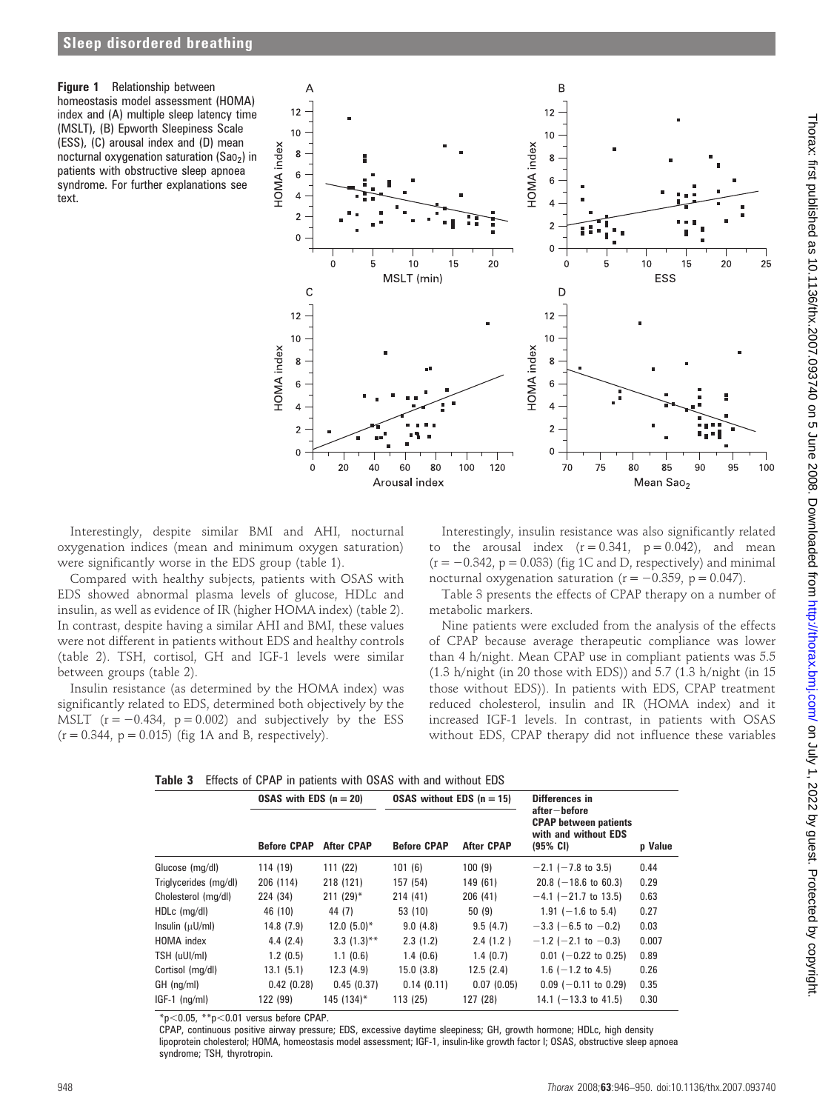Figure 1 Relationship between homeostasis model assessment (HOMA) index and (A) multiple sleep latency time (MSLT), (B) Epworth Sleepiness Scale (ESS), (C) arousal index and (D) mean nocturnal oxygenation saturation (Sao<sub>2</sub>) in patients with obstructive sleep apnoea syndrome. For further explanations see text.



Interestingly, despite similar BMI and AHI, nocturnal oxygenation indices (mean and minimum oxygen saturation) were significantly worse in the EDS group (table 1).

Compared with healthy subjects, patients with OSAS with EDS showed abnormal plasma levels of glucose, HDLc and insulin, as well as evidence of IR (higher HOMA index) (table 2). In contrast, despite having a similar AHI and BMI, these values were not different in patients without EDS and healthy controls (table 2). TSH, cortisol, GH and IGF-1 levels were similar between groups (table 2).

Insulin resistance (as determined by the HOMA index) was significantly related to EDS, determined both objectively by the MSLT  $(r = -0.434, p = 0.002)$  and subjectively by the ESS  $(r = 0.344, p = 0.015)$  (fig 1A and B, respectively).

Interestingly, insulin resistance was also significantly related to the arousal index  $(r = 0.341, p = 0.042)$ , and mean  $(r = -0.342, p = 0.033)$  (fig 1C and D, respectively) and minimal nocturnal oxygenation saturation ( $r = -0.359$ ,  $p = 0.047$ ).

Table 3 presents the effects of CPAP therapy on a number of metabolic markers.

Nine patients were excluded from the analysis of the effects of CPAP because average therapeutic compliance was lower than 4 h/night. Mean CPAP use in compliant patients was 5.5 (1.3 h/night (in 20 those with EDS)) and 5.7 (1.3 h/night (in 15 those without EDS)). In patients with EDS, CPAP treatment reduced cholesterol, insulin and IR (HOMA index) and it increased IGF-1 levels. In contrast, in patients with OSAS without EDS, CPAP therapy did not influence these variables

| Table 3 Effects of CPAP in patients with OSAS with and without EDS |  |  |  |  |  |  |
|--------------------------------------------------------------------|--|--|--|--|--|--|
|                                                                    |  |  |  |  |  |  |

|                       | OSAS with EDS $(n = 20)$ |                   | OSAS without EDS $(n = 15)$ |                   | Differences in                                                                   |         |
|-----------------------|--------------------------|-------------------|-----------------------------|-------------------|----------------------------------------------------------------------------------|---------|
|                       | <b>Before CPAP</b>       | <b>After CPAP</b> | <b>Before CPAP</b>          | <b>After CPAP</b> | after-before<br><b>CPAP</b> between patients<br>with and without EDS<br>(95% CI) | p Value |
| Glucose (mg/dl)       | 114 (19)                 | 111 (22)          | 101(6)                      | 100(9)            | $-2.1$ ( $-7.8$ to 3.5)                                                          | 0.44    |
| Triglycerides (mg/dl) | 206 (114)                | 218 (121)         | 157 (54)                    | 149 (61)          | $20.8$ (-18.6 to 60.3)                                                           | 0.29    |
| Cholesterol (mg/dl)   | 224 (34)                 | $211 (29)^*$      | 214 (41)                    | 206(41)           | $-4.1$ (-21.7 to 13.5)                                                           | 0.63    |
| HDLc (mg/dl)          | 46 (10)                  | 44 (7)            | 53 (10)                     | 50(9)             | $1.91 (-1.6 \text{ to } 5.4)$                                                    | 0.27    |
| Insulin (µU/ml)       | 14.8 (7.9)               | $12.0(5.0)*$      | 9.0(4.8)                    | 9.5(4.7)          | $-3.3$ (-6.5 to -0.2)                                                            | 0.03    |
| HOMA index            | 4.4(2.4)                 | $3.3(1.3)$ **     | 2.3(1.2)                    | 2.4(1.2)          | $-1.2$ (-2.1 to -0.3)                                                            | 0.007   |
| TSH (uUI/ml)          | 1.2(0.5)                 | 1.1(0.6)          | 1.4(0.6)                    | 1.4(0.7)          | $0.01$ (-0.22 to 0.25)                                                           | 0.89    |
| Cortisol (mg/dl)      | 13.1(5.1)                | 12.3(4.9)         | 15.0(3.8)                   | 12.5(2.4)         | $1.6$ (-1.2 to 4.5)                                                              | 0.26    |
| $GH$ (ng/ml)          | 0.42(0.28)               | 0.45(0.37)        | 0.14(0.11)                  | 0.07(0.05)        | $0.09$ (-0.11 to 0.29)                                                           | 0.35    |
| $IGF-1$ ( $nq/ml$ )   | 122 (99)                 | 145 (134)*        | 113 (25)                    | 127 (28)          | 14.1 $(-13.3 \text{ to } 41.5)$                                                  | 0.30    |

 $*p$ <0.05,  $*p$ <0.01 versus before CPAP.

CPAP, continuous positive airway pressure; EDS, excessive daytime sleepiness; GH, growth hormone; HDLc, high density lipoprotein cholesterol; HOMA, homeostasis model assessment; IGF-1, insulin-like growth factor I; OSAS, obstructive sleep apnoea syndrome; TSH, thyrotropin.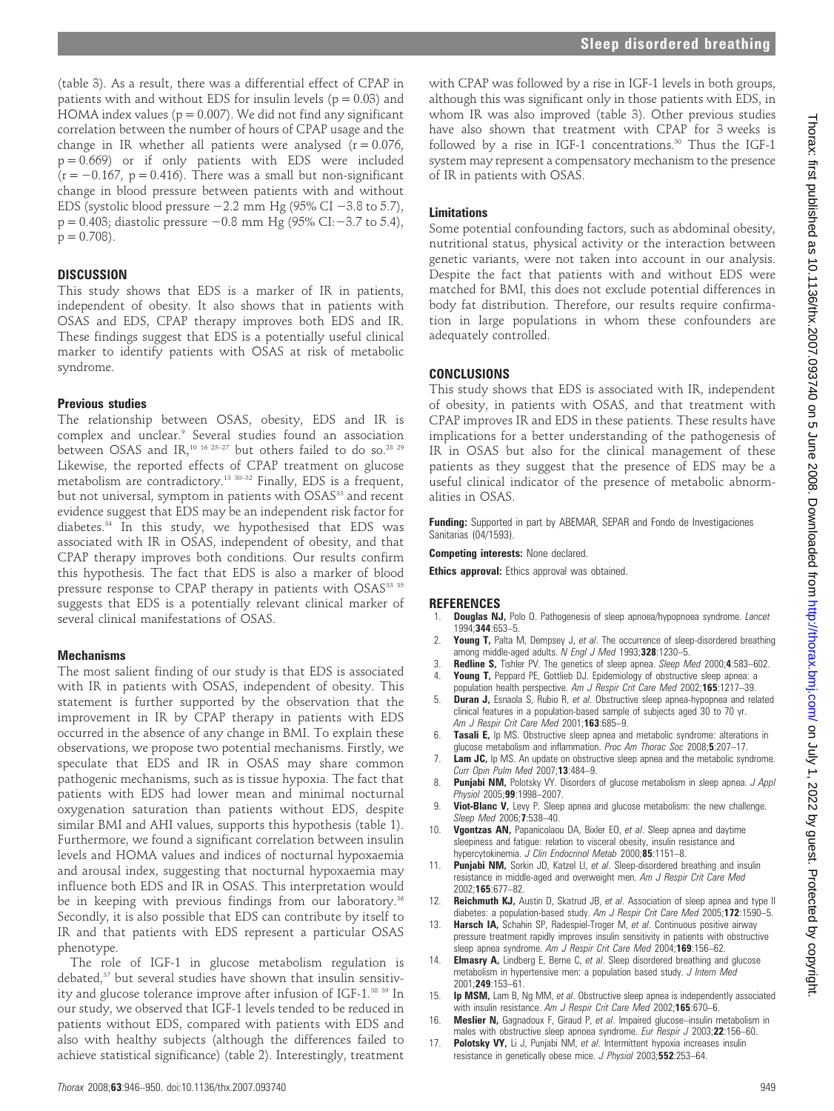Thorax: first published as 10.1136/thx.2007.093740 on 5 June 2008. Downloaded from http://thorax.bmj.com/ on July 1, 2022 by guest. Protected by copyright on July 1, 2022 by guest. Protected by copyright. <http://thorax.bmj.com/> Thorax: first published as 10.1136/thx.2007.093740 on 5 June 2008. Downloaded from

(table 3). As a result, there was a differential effect of CPAP in patients with and without EDS for insulin levels ( $p = 0.03$ ) and HOMA index values ( $p = 0.007$ ). We did not find any significant correlation between the number of hours of CPAP usage and the change in IR whether all patients were analysed  $(r = 0.076,$  $p = 0.669$ ) or if only patients with EDS were included  $(r = -0.167, p = 0.416)$ . There was a small but non-significant change in blood pressure between patients with and without EDS (systolic blood pressure  $-2.2$  mm Hg (95% CI  $-3.8$  to 5.7),  $p = 0.403$ ; diastolic pressure  $-0.8$  mm Hg (95% CI: $-3.7$  to 5.4),  $p = 0.708$ ).

#### **DISCUSSION**

This study shows that EDS is a marker of IR in patients, independent of obesity. It also shows that in patients with OSAS and EDS, CPAP therapy improves both EDS and IR. These findings suggest that EDS is a potentially useful clinical marker to identify patients with OSAS at risk of metabolic syndrome.

#### Previous studies

The relationship between OSAS, obesity, EDS and IR is complex and unclear.9 Several studies found an association between OSAS and IR,<sup>10 16 25-27</sup> but others failed to do so.<sup>28 29</sup> Likewise, the reported effects of CPAP treatment on glucose metabolism are contradictory.<sup>13 30–32</sup> Finally, EDS is a frequent, but not universal, symptom in patients with OSAS<sup>33</sup> and recent evidence suggest that EDS may be an independent risk factor for diabetes.34 In this study, we hypothesised that EDS was associated with IR in OSAS, independent of obesity, and that CPAP therapy improves both conditions. Our results confirm this hypothesis. The fact that EDS is also a marker of blood pressure response to CPAP therapy in patients with OSAS<sup>33 35</sup> suggests that EDS is a potentially relevant clinical marker of several clinical manifestations of OSAS.

## **Mechanisms**

The most salient finding of our study is that EDS is associated with IR in patients with OSAS, independent of obesity. This statement is further supported by the observation that the improvement in IR by CPAP therapy in patients with EDS occurred in the absence of any change in BMI. To explain these observations, we propose two potential mechanisms. Firstly, we speculate that EDS and IR in OSAS may share common pathogenic mechanisms, such as is tissue hypoxia. The fact that patients with EDS had lower mean and minimal nocturnal oxygenation saturation than patients without EDS, despite similar BMI and AHI values, supports this hypothesis (table 1). Furthermore, we found a significant correlation between insulin levels and HOMA values and indices of nocturnal hypoxaemia and arousal index, suggesting that nocturnal hypoxaemia may influence both EDS and IR in OSAS. This interpretation would be in keeping with previous findings from our laboratory.<sup>36</sup> Secondly, it is also possible that EDS can contribute by itself to IR and that patients with EDS represent a particular OSAS phenotype.

The role of IGF-1 in glucose metabolism regulation is debated,<sup>37</sup> but several studies have shown that insulin sensitivity and glucose tolerance improve after infusion of IGF-1.38 39 In our study, we observed that IGF-1 levels tended to be reduced in patients without EDS, compared with patients with EDS and also with healthy subjects (although the differences failed to achieve statistical significance) (table 2). Interestingly, treatment

with CPAP was followed by a rise in IGF-1 levels in both groups, although this was significant only in those patients with EDS, in whom IR was also improved (table 3). Other previous studies have also shown that treatment with CPAP for 3 weeks is followed by a rise in IGF-1 concentrations.<sup>30</sup> Thus the IGF-1 system may represent a compensatory mechanism to the presence of IR in patients with OSAS.

# Limitations

Some potential confounding factors, such as abdominal obesity, nutritional status, physical activity or the interaction between genetic variants, were not taken into account in our analysis. Despite the fact that patients with and without EDS were matched for BMI, this does not exclude potential differences in body fat distribution. Therefore, our results require confirmation in large populations in whom these confounders are adequately controlled.

# CONCLUSIONS

This study shows that EDS is associated with IR, independent of obesity, in patients with OSAS, and that treatment with CPAP improves IR and EDS in these patients. These results have implications for a better understanding of the pathogenesis of IR in OSAS but also for the clinical management of these patients as they suggest that the presence of EDS may be a useful clinical indicator of the presence of metabolic abnormalities in OSAS.

Funding: Supported in part by ABEMAR, SEPAR and Fondo de Investigaciones Sanitarias (04/1593).

Competing interests: None declared.

Ethics approval: Ethics approval was obtained.

#### **REFERENCES**

- **Douglas NJ, Polo O. Pathogenesis of sleep apnoea/hypopnoea syndrome.** Lancet 1994;344:653–5.
- Young T, Palta M, Dempsey J, et al. The occurrence of sleep-disordered breathing among middle-aged adults. N Engl J Med 1993;328:1230-5.
- Redline S, Tishler PV. The genetics of sleep apnea. Sleep Med 2000;4:583-602.
- Young T, Peppard PE, Gottlieb DJ. Epidemiology of obstructive sleep apnea: a population health perspective. Am J Respir Crit Care Med 2002;165:1217–39.
- **Duran J,** Esnaola S, Rubio R, et al. Obstructive sleep apnea-hypopnea and related clinical features in a population-based sample of subjects aged 30 to 70 yr. Am J Respir Crit Care Med 2001:163:685-9.
- 6. Tasali E, Ip MS. Obstructive sleep apnea and metabolic syndrome: alterations in glucose metabolism and inflammation. Proc Am Thorac Soc 2008;5:207–17.
- Lam JC, Ip MS. An update on obstructive sleep apnea and the metabolic syndrome. Curr Opin Pulm Med 2007;13:484–9.
- 8. Punjabi NM, Polotsky VY. Disorders of glucose metabolism in sleep apnea. J Appl Physiol 2005;99:1998-2007.
- Viot-Blanc V, Levy P. Sleep apnea and glucose metabolism: the new challenge. Sleep Med 2006;7:538–40.
- 10. Vgontzas AN, Papanicolaou DA, Bixler EO, et al. Sleep apnea and daytime sleepiness and fatigue: relation to visceral obesity, insulin resistance and hypercytokinemia. J Clin Endocrinol Metab 2000;85:1151-8.
- 11. Punjabi NM, Sorkin JD, Katzel LI, et al. Sleep-disordered breathing and insulin resistance in middle-aged and overweight men. Am J Respir Crit Care Med 2002;165:677–82.
- 12. Reichmuth KJ, Austin D, Skatrud JB, et al. Association of sleep apnea and type II diabetes: a population-based study. Am J Respir Crit Care Med 2005;172:1590-5.
- 13. Harsch IA, Schahin SP, Radespiel-Troger M, et al. Continuous positive airway pressure treatment rapidly improves insulin sensitivity in patients with obstructive sleep apnea syndrome. Am J Respir Crit Care Med 2004;169:156-62.
- 14. **Elmasry A,** Lindberg E, Berne C, et al. Sleep disordered breathing and glucose metabolism in hypertensive men: a population based study. J Intern Med 2001;249:153–61.
- 15. **Ip MSM,** Lam B, Ng MM, et al. Obstructive sleep apnea is independently associated with insulin resistance. Am J Respir Crit Care Med 2002;165:670-6.
- 16. Meslier N, Gagnadoux F, Giraud P, et al. Impaired glucose-insulin metabolism in males with obstructive sleep apnoea syndrome. Eur Respir J 2003;22:156-60.
- 17. Polotsky VY, Li J, Punjabi NM, et al. Intermittent hypoxia increases insulin resistance in genetically obese mice. J Physiol 2003;552:253–64.